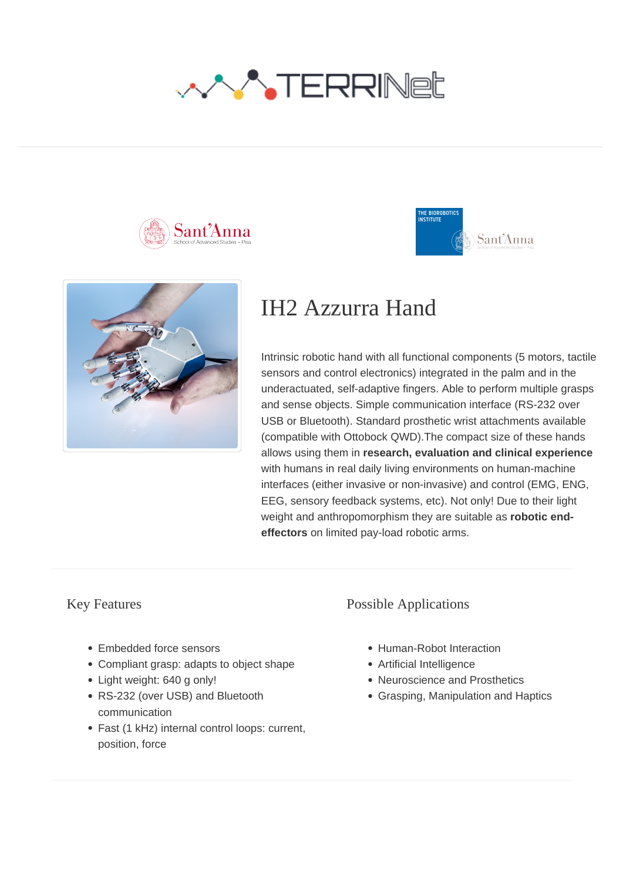







# IH2 Azzurra Hand

Intrinsic robotic hand with all functional components (5 motors, tactile sensors and control electronics) integrated in the palm and in the underactuated, self-adaptive fingers. Able to perform multiple grasps and sense objects. Simple communication interface (RS-232 over USB or Bluetooth). Standard prosthetic wrist attachments available (compatible with Ottobock QWD).The compact size of these hands allows using them in **research, evaluation and clinical experience** with humans in real daily living environments on human-machine interfaces (either invasive or non-invasive) and control (EMG, ENG, EEG, sensory feedback systems, etc). Not only! Due to their light weight and anthropomorphism they are suitable as **robotic endeffectors** on limited pay-load robotic arms.

### Key Features

- Embedded force sensors
- Compliant grasp: adapts to object shape
- Light weight: 640 g only!
- RS-232 (over USB) and Bluetooth communication
- Fast (1 kHz) internal control loops: current, position, force

### Possible Applications

- Human-Robot Interaction
- Artificial Intelligence
- Neuroscience and Prosthetics
- Grasping, Manipulation and Haptics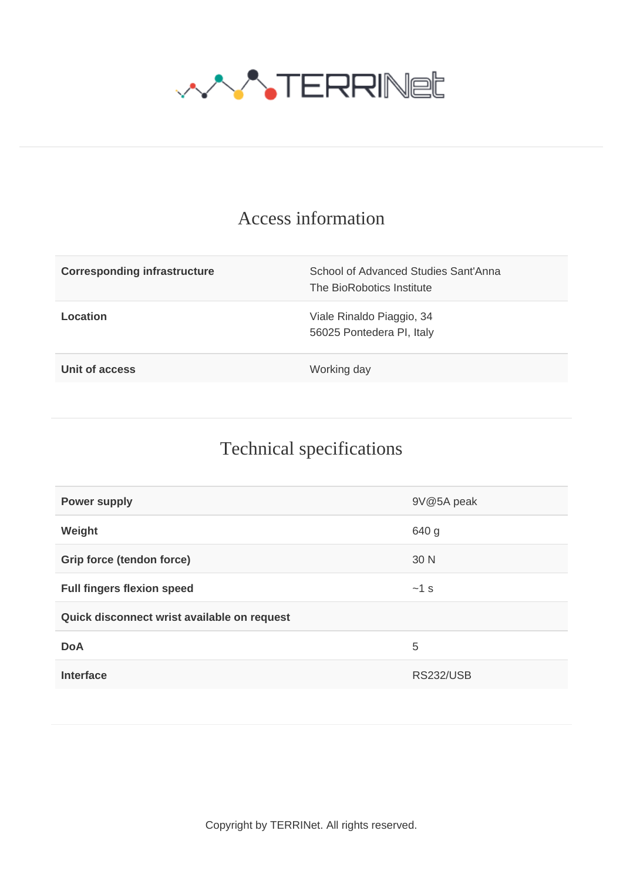

### Access information

| <b>Corresponding infrastructure</b> | School of Advanced Studies Sant'Anna<br>The BioRobotics Institute |
|-------------------------------------|-------------------------------------------------------------------|
| Location                            | Viale Rinaldo Piaggio, 34<br>56025 Pontedera PI, Italy            |
| Unit of access                      | Working day                                                       |

## Technical specifications

| <b>Power supply</b>                         | 9V@5A peak       |  |
|---------------------------------------------|------------------|--|
| Weight                                      | 640 g            |  |
| Grip force (tendon force)                   | 30 N             |  |
| <b>Full fingers flexion speed</b>           | $~1$ s           |  |
| Quick disconnect wrist available on request |                  |  |
| <b>DoA</b>                                  | 5                |  |
| <b>Interface</b>                            | <b>RS232/USB</b> |  |